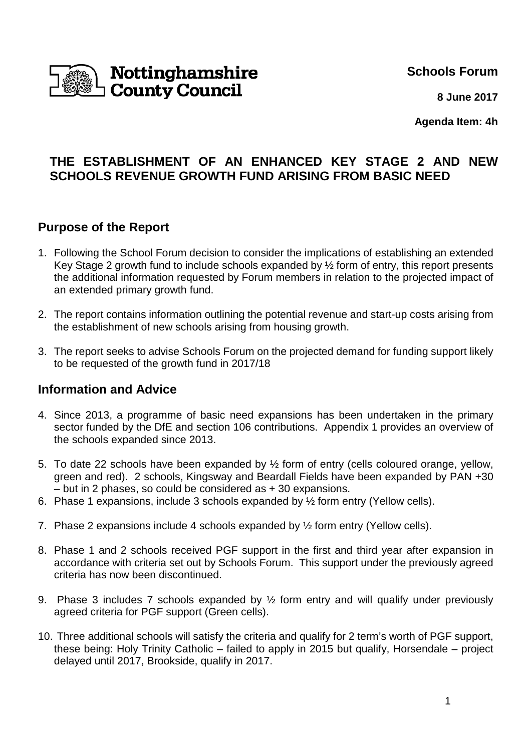

**Schools Forum**

**8 June 2017**

**Agenda Item: 4h**

# **THE ESTABLISHMENT OF AN ENHANCED KEY STAGE 2 AND NEW SCHOOLS REVENUE GROWTH FUND ARISING FROM BASIC NEED**

## **Purpose of the Report**

- 1. Following the School Forum decision to consider the implications of establishing an extended Key Stage 2 growth fund to include schools expanded by ½ form of entry, this report presents the additional information requested by Forum members in relation to the projected impact of an extended primary growth fund.
- 2. The report contains information outlining the potential revenue and start-up costs arising from the establishment of new schools arising from housing growth.
- 3. The report seeks to advise Schools Forum on the projected demand for funding support likely to be requested of the growth fund in 2017/18

## **Information and Advice**

- 4. Since 2013, a programme of basic need expansions has been undertaken in the primary sector funded by the DfE and section 106 contributions. Appendix 1 provides an overview of the schools expanded since 2013.
- 5. To date 22 schools have been expanded by ½ form of entry (cells coloured orange, yellow, green and red). 2 schools, Kingsway and Beardall Fields have been expanded by PAN +30 – but in 2 phases, so could be considered as + 30 expansions.
- 6. Phase 1 expansions, include 3 schools expanded by ½ form entry (Yellow cells).
- 7. Phase 2 expansions include 4 schools expanded by ½ form entry (Yellow cells).
- 8. Phase 1 and 2 schools received PGF support in the first and third year after expansion in accordance with criteria set out by Schools Forum. This support under the previously agreed criteria has now been discontinued.
- 9. Phase 3 includes 7 schools expanded by ½ form entry and will qualify under previously agreed criteria for PGF support (Green cells).
- 10. Three additional schools will satisfy the criteria and qualify for 2 term's worth of PGF support, these being: Holy Trinity Catholic – failed to apply in 2015 but qualify, Horsendale – project delayed until 2017, Brookside, qualify in 2017.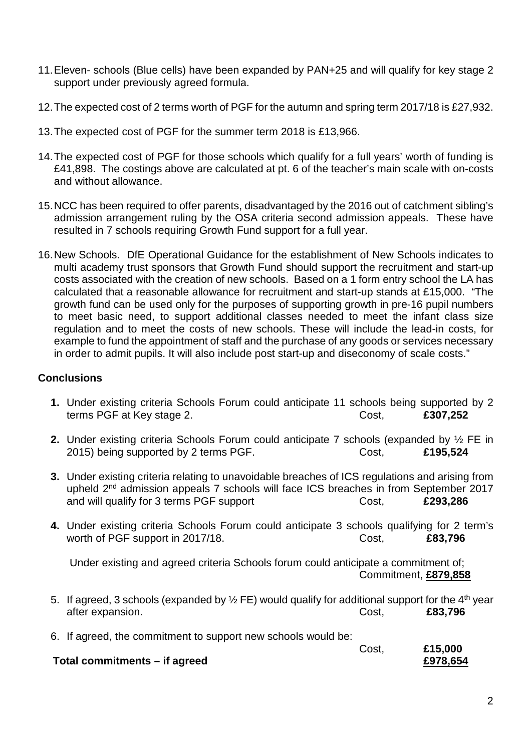- 11. Eleven- schools (Blue cells) have been expanded by PAN+25 and will qualify for key stage 2 support under previously agreed formula.
- 12. The expected cost of 2 terms worth of PGF for the autumn and spring term 2017/18 is £27,932.
- 13. The expected cost of PGF for the summer term 2018 is £13,966.
- 14. The expected cost of PGF for those schools which qualify for a full years' worth of funding is £41,898. The costings above are calculated at pt. 6 of the teacher's main scale with on-costs and without allowance.
- 15. NCC has been required to offer parents, disadvantaged by the 2016 out of catchment sibling's admission arrangement ruling by the OSA criteria second admission appeals. These have resulted in 7 schools requiring Growth Fund support for a full year.
- 16. New Schools. DfE Operational Guidance for the establishment of New Schools indicates to multi academy trust sponsors that Growth Fund should support the recruitment and start-up costs associated with the creation of new schools. Based on a 1 form entry school the LA has calculated that a reasonable allowance for recruitment and start-up stands at £15,000. "The growth fund can be used only for the purposes of supporting growth in pre-16 pupil numbers to meet basic need, to support additional classes needed to meet the infant class size regulation and to meet the costs of new schools. These will include the lead-in costs, for example to fund the appointment of staff and the purchase of any goods or services necessary in order to admit pupils. It will also include post start-up and diseconomy of scale costs."

#### **Conclusions**

- **1.** Under existing criteria Schools Forum could anticipate 11 schools being supported by 2 terms PGF at Key stage 2. **EXACTE 2.** Cost, **£307,252**
- **2.** Under existing criteria Schools Forum could anticipate 7 schools (expanded by ½ FE in 2015) being supported by 2 terms PGF. Cost, **£195,524**
- **3.** Under existing criteria relating to unavoidable breaches of ICS regulations and arising from upheld 2<sup>nd</sup> admission appeals 7 schools will face ICS breaches in from September 2017 and will qualify for 3 terms PGF support Cost, E293,286
- **4.** Under existing criteria Schools Forum could anticipate 3 schools qualifying for 2 term's worth of PGF support in 2017/18. Cost, **£83,796**

 Under existing and agreed criteria Schools forum could anticipate a commitment of; Commitment, **£879,858** 

- 5. If agreed, 3 schools (expanded by  $\frac{1}{2}$  FE) would qualify for additional support for the 4<sup>th</sup> year after expansion. Cost, **£83,796**
- 6. If agreed, the commitment to support new schools would be:

|                               | Cost. | £15,000  |
|-------------------------------|-------|----------|
| Total commitments – if agreed |       | £978,654 |